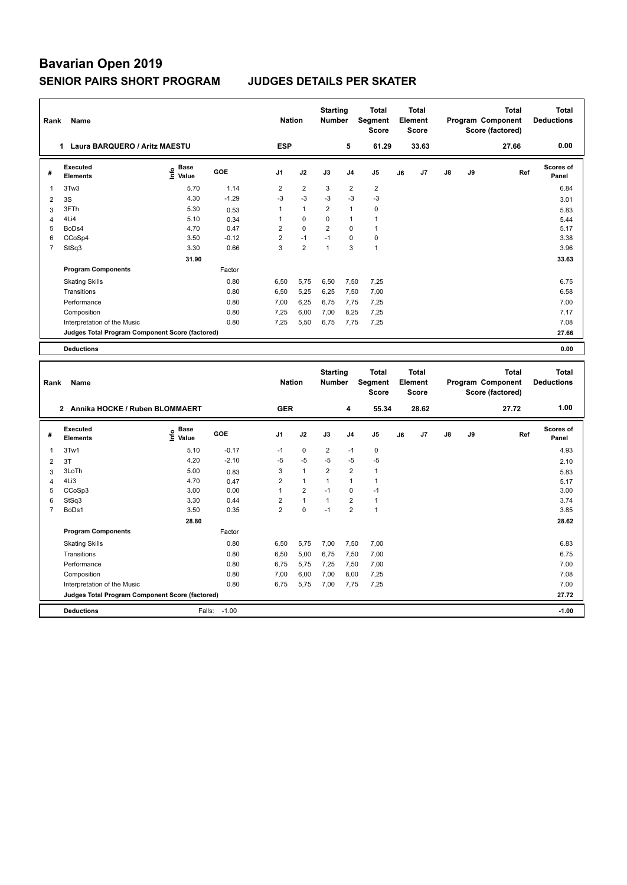| Rank           | Name                                            |                              |         | <b>Nation</b>  |                | <b>Starting</b><br><b>Number</b> |                | <b>Total</b><br>Segment<br><b>Score</b> |    | Total<br>Element<br><b>Score</b> |               |    | <b>Total</b><br>Program Component<br>Score (factored) | Total<br><b>Deductions</b> |
|----------------|-------------------------------------------------|------------------------------|---------|----------------|----------------|----------------------------------|----------------|-----------------------------------------|----|----------------------------------|---------------|----|-------------------------------------------------------|----------------------------|
|                | Laura BARQUERO / Aritz MAESTU<br>1              |                              |         | <b>ESP</b>     |                |                                  | 5              | 61.29                                   |    | 33.63                            |               |    | 27.66                                                 | 0.00                       |
| #              | Executed<br><b>Elements</b>                     | <b>Base</b><br>١nf٥<br>Value | GOE     | J <sub>1</sub> | J2             | J3                               | J <sub>4</sub> | J <sub>5</sub>                          | J6 | J7                               | $\mathsf{J}8$ | J9 | Ref                                                   | <b>Scores of</b><br>Panel  |
| 1              | 3Tw3                                            | 5.70                         | 1.14    | 2              | $\overline{2}$ | 3                                | $\overline{2}$ | $\overline{2}$                          |    |                                  |               |    |                                                       | 6.84                       |
| 2              | 3S                                              | 4.30                         | $-1.29$ | $-3$           | $-3$           | $-3$                             | $-3$           | $-3$                                    |    |                                  |               |    |                                                       | 3.01                       |
| 3              | 3FTh                                            | 5.30                         | 0.53    | 1              | $\mathbf{1}$   | $\overline{2}$                   | $\overline{1}$ | $\mathbf 0$                             |    |                                  |               |    |                                                       | 5.83                       |
| 4              | 4Li4                                            | 5.10                         | 0.34    | 1              | $\mathbf 0$    | 0                                | $\overline{1}$ | 1                                       |    |                                  |               |    |                                                       | 5.44                       |
| 5              | BoDs4                                           | 4.70                         | 0.47    | $\overline{2}$ | $\Omega$       | $\overline{2}$                   | $\Omega$       | 1                                       |    |                                  |               |    |                                                       | 5.17                       |
| 6              | CCoSp4                                          | 3.50                         | $-0.12$ | $\overline{2}$ | $-1$           | $-1$                             | $\Omega$       | $\pmb{0}$                               |    |                                  |               |    |                                                       | 3.38                       |
| $\overline{7}$ | StSq3                                           | 3.30                         | 0.66    | 3              | $\overline{2}$ | 1                                | 3              | $\overline{1}$                          |    |                                  |               |    |                                                       | 3.96                       |
|                |                                                 | 31.90                        |         |                |                |                                  |                |                                         |    |                                  |               |    |                                                       | 33.63                      |
|                | <b>Program Components</b>                       |                              | Factor  |                |                |                                  |                |                                         |    |                                  |               |    |                                                       |                            |
|                | <b>Skating Skills</b>                           |                              | 0.80    | 6.50           | 5.75           | 6,50                             | 7,50           | 7,25                                    |    |                                  |               |    |                                                       | 6.75                       |
|                | Transitions                                     |                              | 0.80    | 6.50           | 5,25           | 6,25                             | 7.50           | 7.00                                    |    |                                  |               |    |                                                       | 6.58                       |
|                | Performance                                     |                              | 0.80    | 7,00           | 6,25           | 6,75                             | 7,75           | 7,25                                    |    |                                  |               |    |                                                       | 7.00                       |
|                | Composition                                     |                              | 0.80    | 7.25           | 6.00           | 7.00                             | 8.25           | 7,25                                    |    |                                  |               |    |                                                       | 7.17                       |
|                | Interpretation of the Music                     |                              | 0.80    | 7,25           | 5,50           | 6,75                             | 7,75           | 7,25                                    |    |                                  |               |    |                                                       | 7.08                       |
|                | Judges Total Program Component Score (factored) |                              |         |                |                |                                  |                |                                         |    |                                  |               |    |                                                       | 27.66                      |
|                | <b>Deductions</b>                               |                              |         |                |                |                                  |                |                                         |    |                                  |               |    |                                                       | 0.00                       |

| Rank           | Name                                            |                   |            | <b>Nation</b>  |                | <b>Starting</b><br><b>Number</b> |                | <b>Total</b><br>Segment<br><b>Score</b> |    | <b>Total</b><br>Element<br><b>Score</b> |               |    | <b>Total</b><br>Program Component<br>Score (factored) | <b>Total</b><br><b>Deductions</b> |
|----------------|-------------------------------------------------|-------------------|------------|----------------|----------------|----------------------------------|----------------|-----------------------------------------|----|-----------------------------------------|---------------|----|-------------------------------------------------------|-----------------------------------|
|                | 2 Annika HOCKE / Ruben BLOMMAERT                |                   |            | <b>GER</b>     |                |                                  | 4              | 55.34                                   |    | 28.62                                   |               |    | 27.72                                                 | 1.00                              |
| #              | Executed<br><b>Elements</b>                     | e Base<br>⊆ Value | <b>GOE</b> | J <sub>1</sub> | J2             | J3                               | J <sub>4</sub> | J <sub>5</sub>                          | J6 | J7                                      | $\mathsf{J}8$ | J9 | Ref                                                   | <b>Scores of</b><br>Panel         |
| $\mathbf 1$    | 3Tw1                                            | 5.10              | $-0.17$    | $-1$           | 0              | 2                                | $-1$           | 0                                       |    |                                         |               |    |                                                       | 4.93                              |
| 2              | 3T                                              | 4.20              | $-2.10$    | -5             | $-5$           | $-5$                             | -5             | $-5$                                    |    |                                         |               |    |                                                       | 2.10                              |
| 3              | 3LoTh                                           | 5.00              | 0.83       | 3              | $\overline{1}$ | $\overline{2}$                   | $\overline{2}$ | 1                                       |    |                                         |               |    |                                                       | 5.83                              |
| 4              | 4Li3                                            | 4.70              | 0.47       | 2              | $\overline{1}$ |                                  | $\overline{1}$ |                                         |    |                                         |               |    |                                                       | 5.17                              |
| 5              | CCoSp3                                          | 3.00              | 0.00       |                | $\overline{2}$ | $-1$                             | 0              | $-1$                                    |    |                                         |               |    |                                                       | 3.00                              |
| 6              | StSq3                                           | 3.30              | 0.44       | $\overline{2}$ | $\overline{1}$ | $\overline{1}$                   | $\overline{2}$ | $\mathbf{1}$                            |    |                                         |               |    |                                                       | 3.74                              |
| $\overline{7}$ | BoDs1                                           | 3.50              | 0.35       | $\overline{2}$ | $\mathbf 0$    | $-1$                             | $\overline{2}$ | $\overline{1}$                          |    |                                         |               |    |                                                       | 3.85                              |
|                |                                                 | 28.80             |            |                |                |                                  |                |                                         |    |                                         |               |    |                                                       | 28.62                             |
|                | <b>Program Components</b>                       |                   | Factor     |                |                |                                  |                |                                         |    |                                         |               |    |                                                       |                                   |
|                | <b>Skating Skills</b>                           |                   | 0.80       | 6,50           | 5,75           | 7,00                             | 7,50           | 7,00                                    |    |                                         |               |    |                                                       | 6.83                              |
|                | Transitions                                     |                   | 0.80       | 6,50           | 5,00           | 6,75                             | 7,50           | 7,00                                    |    |                                         |               |    |                                                       | 6.75                              |
|                | Performance                                     |                   | 0.80       | 6,75           | 5,75           | 7,25                             | 7,50           | 7,00                                    |    |                                         |               |    |                                                       | 7.00                              |
|                | Composition                                     |                   | 0.80       | 7,00           | 6,00           | 7,00                             | 8,00           | 7,25                                    |    |                                         |               |    |                                                       | 7.08                              |
|                | Interpretation of the Music                     |                   | 0.80       | 6,75           | 5,75           | 7,00                             | 7,75           | 7,25                                    |    |                                         |               |    |                                                       | 7.00                              |
|                | Judges Total Program Component Score (factored) |                   |            |                |                |                                  |                |                                         |    |                                         |               |    |                                                       | 27.72                             |
|                | <b>Deductions</b>                               | Falls:            | $-1.00$    |                |                |                                  |                |                                         |    |                                         |               |    |                                                       | $-1.00$                           |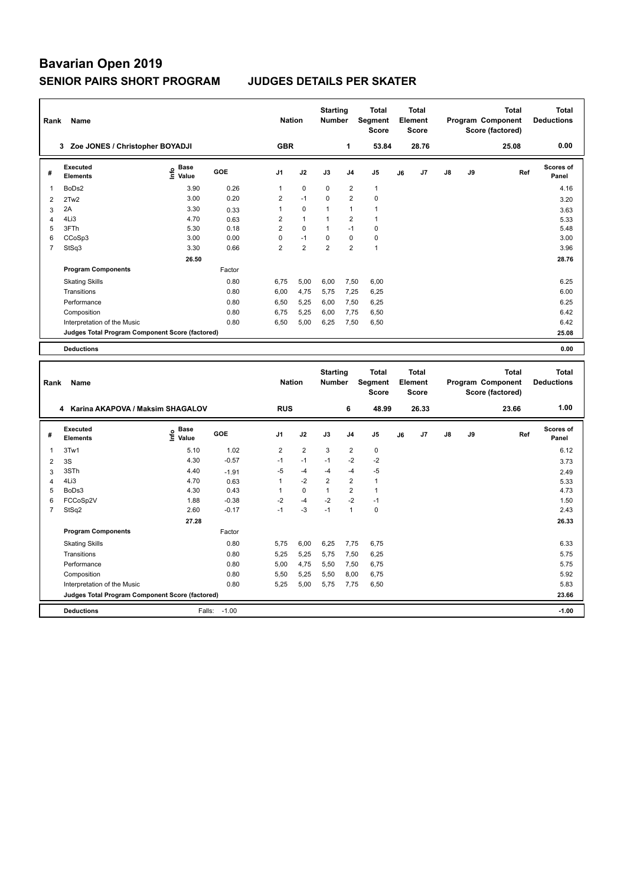| Rank           | Name                                            |                              |            |                | <b>Nation</b>  |                | <b>Starting</b><br><b>Number</b> | Total<br>Segment<br><b>Score</b> | Total<br>Element<br>Score |                |               |    | <b>Total</b><br>Program Component<br>Score (factored) | <b>Total</b><br><b>Deductions</b> |
|----------------|-------------------------------------------------|------------------------------|------------|----------------|----------------|----------------|----------------------------------|----------------------------------|---------------------------|----------------|---------------|----|-------------------------------------------------------|-----------------------------------|
|                | 3 Zoe JONES / Christopher BOYADJI               |                              |            | <b>GBR</b>     |                |                | 1                                | 53.84                            |                           | 28.76          |               |    | 25.08                                                 | 0.00                              |
| #              | Executed<br><b>Elements</b>                     | <b>Base</b><br>١nfo<br>Value | <b>GOE</b> | J <sub>1</sub> | J2             | J3             | J <sub>4</sub>                   | J <sub>5</sub>                   | J6                        | J <sub>7</sub> | $\mathsf{J}8$ | J9 | Ref                                                   | Scores of<br>Panel                |
| 1              | BoDs2                                           | 3.90                         | 0.26       | 1              | $\mathbf 0$    | $\mathbf 0$    | $\overline{2}$                   | $\mathbf{1}$                     |                           |                |               |    |                                                       | 4.16                              |
| 2              | 2Tw2                                            | 3.00                         | 0.20       | 2              | $-1$           | $\Omega$       | $\overline{2}$                   | $\mathbf 0$                      |                           |                |               |    |                                                       | 3.20                              |
| 3              | 2A                                              | 3.30                         | 0.33       | 1              | $\mathbf 0$    | $\overline{1}$ | $\mathbf{1}$                     | $\mathbf{1}$                     |                           |                |               |    |                                                       | 3.63                              |
| 4              | 4Li3                                            | 4.70                         | 0.63       | 2              | $\overline{1}$ | $\overline{1}$ | $\overline{2}$                   | $\mathbf{1}$                     |                           |                |               |    |                                                       | 5.33                              |
| 5              | 3FTh                                            | 5.30                         | 0.18       | $\overline{2}$ | $\mathbf 0$    | $\mathbf{1}$   | $-1$                             | 0                                |                           |                |               |    |                                                       | 5.48                              |
| 6              | CCoSp3                                          | 3.00                         | 0.00       | 0              | $-1$           | $\Omega$       | $\mathbf 0$                      | 0                                |                           |                |               |    |                                                       | 3.00                              |
| $\overline{7}$ | StSq3                                           | 3.30                         | 0.66       | $\overline{2}$ | $\overline{2}$ | $\overline{2}$ | $\overline{2}$                   | $\overline{1}$                   |                           |                |               |    |                                                       | 3.96                              |
|                |                                                 | 26.50                        |            |                |                |                |                                  |                                  |                           |                |               |    |                                                       | 28.76                             |
|                | <b>Program Components</b>                       |                              | Factor     |                |                |                |                                  |                                  |                           |                |               |    |                                                       |                                   |
|                | <b>Skating Skills</b>                           |                              | 0.80       | 6,75           | 5,00           | 6,00           | 7,50                             | 6,00                             |                           |                |               |    |                                                       | 6.25                              |
|                | Transitions                                     |                              | 0.80       | 6.00           | 4,75           | 5,75           | 7,25                             | 6,25                             |                           |                |               |    |                                                       | 6.00                              |
|                | Performance                                     |                              | 0.80       | 6,50           | 5,25           | 6,00           | 7,50                             | 6,25                             |                           |                |               |    |                                                       | 6.25                              |
|                | Composition                                     |                              | 0.80       | 6.75           | 5.25           | 6,00           | 7.75                             | 6.50                             |                           |                |               |    |                                                       | 6.42                              |
|                | Interpretation of the Music                     |                              | 0.80       | 6,50           | 5,00           | 6,25           | 7,50                             | 6,50                             |                           |                |               |    |                                                       | 6.42                              |
|                | Judges Total Program Component Score (factored) |                              |            |                |                |                |                                  |                                  |                           |                |               |    |                                                       | 25.08                             |
|                | <b>Deductions</b>                               |                              |            |                |                |                |                                  |                                  |                           |                |               |    |                                                       | 0.00                              |

| Rank           | Name                                            |                                  |            | <b>Nation</b>  |                | <b>Starting</b><br><b>Number</b> |                | <b>Total</b><br>Segment<br><b>Score</b> |    | <b>Total</b><br>Element<br><b>Score</b> |               |    | <b>Total</b><br>Program Component<br>Score (factored) | <b>Total</b><br><b>Deductions</b> |
|----------------|-------------------------------------------------|----------------------------------|------------|----------------|----------------|----------------------------------|----------------|-----------------------------------------|----|-----------------------------------------|---------------|----|-------------------------------------------------------|-----------------------------------|
|                | Karina AKAPOVA / Maksim SHAGALOV<br>4           |                                  |            | <b>RUS</b>     |                |                                  | 6              | 48.99                                   |    | 26.33                                   |               |    | 23.66                                                 | 1.00                              |
| #              | Executed<br><b>Elements</b>                     | <b>Base</b><br>e Base<br>⊆ Value | <b>GOE</b> | J <sub>1</sub> | J2             | J3                               | J <sub>4</sub> | J <sub>5</sub>                          | J6 | J <sub>7</sub>                          | $\mathsf{J}8$ | J9 | Ref                                                   | <b>Scores of</b><br>Panel         |
| $\mathbf 1$    | 3Tw1                                            | 5.10                             | 1.02       | $\overline{2}$ | $\overline{2}$ | 3                                | 2              | $\pmb{0}$                               |    |                                         |               |    |                                                       | 6.12                              |
| 2              | 3S                                              | 4.30                             | $-0.57$    | $-1$           | $-1$           | $-1$                             | $-2$           | $-2$                                    |    |                                         |               |    |                                                       | 3.73                              |
| 3              | 3STh                                            | 4.40                             | $-1.91$    | -5             | $-4$           | $-4$                             | -4             | -5                                      |    |                                         |               |    |                                                       | 2.49                              |
| 4              | 4Li3                                            | 4.70                             | 0.63       |                | $-2$           | $\overline{2}$                   | $\overline{2}$ | 1                                       |    |                                         |               |    |                                                       | 5.33                              |
| 5              | BoDs3                                           | 4.30                             | 0.43       |                | $\mathbf 0$    | $\mathbf 1$                      | $\overline{2}$ |                                         |    |                                         |               |    |                                                       | 4.73                              |
| 6              | FCCoSp2V                                        | 1.88                             | $-0.38$    | $-2$           | $-4$           | $-2$                             | $-2$           | $-1$                                    |    |                                         |               |    |                                                       | 1.50                              |
| $\overline{7}$ | StSq2                                           | 2.60                             | $-0.17$    | $-1$           | $-3$           | $-1$                             | $\mathbf{1}$   | $\mathbf 0$                             |    |                                         |               |    |                                                       | 2.43                              |
|                |                                                 | 27.28                            |            |                |                |                                  |                |                                         |    |                                         |               |    |                                                       | 26.33                             |
|                | <b>Program Components</b>                       |                                  | Factor     |                |                |                                  |                |                                         |    |                                         |               |    |                                                       |                                   |
|                | <b>Skating Skills</b>                           |                                  | 0.80       | 5.75           | 6,00           | 6,25                             | 7,75           | 6,75                                    |    |                                         |               |    |                                                       | 6.33                              |
|                | Transitions                                     |                                  | 0.80       | 5,25           | 5,25           | 5,75                             | 7,50           | 6,25                                    |    |                                         |               |    |                                                       | 5.75                              |
|                | Performance                                     |                                  | 0.80       | 5,00           | 4,75           | 5,50                             | 7,50           | 6,75                                    |    |                                         |               |    |                                                       | 5.75                              |
|                | Composition                                     |                                  | 0.80       | 5,50           | 5,25           | 5,50                             | 8,00           | 6,75                                    |    |                                         |               |    |                                                       | 5.92                              |
|                | Interpretation of the Music                     |                                  | 0.80       | 5,25           | 5,00           | 5,75                             | 7,75           | 6,50                                    |    |                                         |               |    |                                                       | 5.83                              |
|                | Judges Total Program Component Score (factored) |                                  |            |                |                |                                  |                |                                         |    |                                         |               |    |                                                       | 23.66                             |
|                | <b>Deductions</b>                               | Falls:                           | $-1.00$    |                |                |                                  |                |                                         |    |                                         |               |    |                                                       | $-1.00$                           |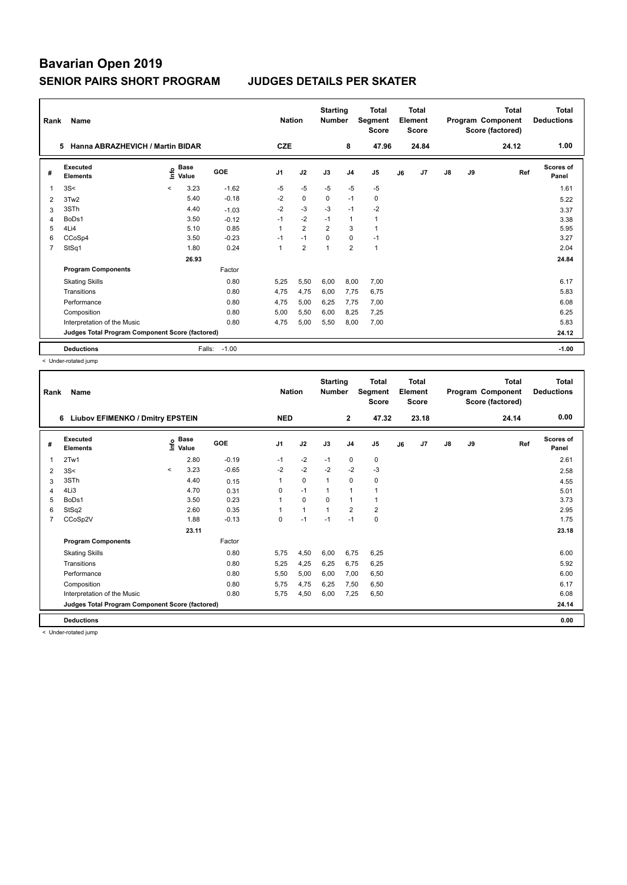| Rank           | Name                                            |         |                      |            |                | <b>Nation</b>  | <b>Starting</b><br><b>Number</b> |                | Total<br>Segment<br><b>Score</b> |    | <b>Total</b><br>Element<br><b>Score</b> |               |    | <b>Total</b><br>Program Component<br>Score (factored) | <b>Total</b><br><b>Deductions</b> |
|----------------|-------------------------------------------------|---------|----------------------|------------|----------------|----------------|----------------------------------|----------------|----------------------------------|----|-----------------------------------------|---------------|----|-------------------------------------------------------|-----------------------------------|
|                | Hanna ABRAZHEVICH / Martin BIDAR<br>5           |         |                      |            | <b>CZE</b>     |                |                                  | 8              | 47.96                            |    | 24.84                                   |               |    | 24.12                                                 | 1.00                              |
| #              | Executed<br><b>Elements</b>                     | Info    | <b>Base</b><br>Value | <b>GOE</b> | J <sub>1</sub> | J2             | J3                               | J <sub>4</sub> | J <sub>5</sub>                   | J6 | J7                                      | $\mathsf{J}8$ | J9 | Ref                                                   | <b>Scores of</b><br>Panel         |
| $\overline{1}$ | 3S<                                             | $\prec$ | 3.23                 | $-1.62$    | $-5$           | $-5$           | $-5$                             | $-5$           | $-5$                             |    |                                         |               |    |                                                       | 1.61                              |
| 2              | 3Tw2                                            |         | 5.40                 | $-0.18$    | $-2$           | $\mathbf 0$    | $\Omega$                         | $-1$           | 0                                |    |                                         |               |    |                                                       | 5.22                              |
| 3              | 3STh                                            |         | 4.40                 | $-1.03$    | $-2$           | $-3$           | $-3$                             | $-1$           | $-2$                             |    |                                         |               |    |                                                       | 3.37                              |
| $\overline{4}$ | BoDs1                                           |         | 3.50                 | $-0.12$    | $-1$           | $-2$           | $-1$                             | $\mathbf{1}$   | $\mathbf{1}$                     |    |                                         |               |    |                                                       | 3.38                              |
| 5              | 4Li4                                            |         | 5.10                 | 0.85       | $\mathbf{1}$   | $\overline{2}$ | $\overline{2}$                   | 3              | $\mathbf{1}$                     |    |                                         |               |    |                                                       | 5.95                              |
| 6              | CCoSp4                                          |         | 3.50                 | $-0.23$    | $-1$           | $-1$           | $\mathbf 0$                      | $\mathbf 0$    | $-1$                             |    |                                         |               |    |                                                       | 3.27                              |
| $\overline{7}$ | StSq1                                           |         | 1.80                 | 0.24       | $\overline{1}$ | $\overline{2}$ | 1                                | $\overline{2}$ | $\mathbf{1}$                     |    |                                         |               |    |                                                       | 2.04                              |
|                |                                                 |         | 26.93                |            |                |                |                                  |                |                                  |    |                                         |               |    |                                                       | 24.84                             |
|                | <b>Program Components</b>                       |         |                      | Factor     |                |                |                                  |                |                                  |    |                                         |               |    |                                                       |                                   |
|                | <b>Skating Skills</b>                           |         |                      | 0.80       | 5,25           | 5,50           | 6,00                             | 8,00           | 7,00                             |    |                                         |               |    |                                                       | 6.17                              |
|                | Transitions                                     |         |                      | 0.80       | 4.75           | 4,75           | 6,00                             | 7,75           | 6.75                             |    |                                         |               |    |                                                       | 5.83                              |
|                | Performance                                     |         |                      | 0.80       | 4,75           | 5,00           | 6,25                             | 7,75           | 7,00                             |    |                                         |               |    |                                                       | 6.08                              |
|                | Composition                                     |         |                      | 0.80       | 5,00           | 5,50           | 6,00                             | 8,25           | 7,25                             |    |                                         |               |    |                                                       | 6.25                              |
|                | Interpretation of the Music                     |         |                      | 0.80       | 4,75           | 5,00           | 5,50                             | 8,00           | 7,00                             |    |                                         |               |    |                                                       | 5.83                              |
|                | Judges Total Program Component Score (factored) |         |                      |            |                |                |                                  |                |                                  |    |                                         |               |    |                                                       | 24.12                             |
|                | <b>Deductions</b>                               |         | Falls:               | $-1.00$    |                |                |                                  |                |                                  |    |                                         |               |    |                                                       | $-1.00$                           |

< Under-rotated jump

|                | Name<br>Rank                                    |         |                      |         |                |            | <b>Starting</b><br><b>Number</b> |                | <b>Total</b><br>Segment<br><b>Score</b> | <b>Total</b><br>Element<br><b>Score</b> |                |               |    | <b>Total</b><br>Program Component<br>Score (factored) | <b>Total</b><br><b>Deductions</b> |
|----------------|-------------------------------------------------|---------|----------------------|---------|----------------|------------|----------------------------------|----------------|-----------------------------------------|-----------------------------------------|----------------|---------------|----|-------------------------------------------------------|-----------------------------------|
|                | 6 Liubov EFIMENKO / Dmitry EPSTEIN              |         |                      |         |                | <b>NED</b> |                                  | $\overline{2}$ | 47.32                                   |                                         | 23.18          |               |    | 24.14                                                 | 0.00                              |
| #              | Executed<br><b>Elements</b>                     | ١nfo    | <b>Base</b><br>Value | GOE     | J <sub>1</sub> | J2         | J3                               | J <sub>4</sub> | J <sub>5</sub>                          | J6                                      | J <sub>7</sub> | $\mathsf{J}8$ | J9 | Ref                                                   | <b>Scores of</b><br>Panel         |
| 1              | 2Tw1                                            |         | 2.80                 | $-0.19$ | $-1$           | $-2$       | $-1$                             | 0              | 0                                       |                                         |                |               |    |                                                       | 2.61                              |
| 2              | 3S<                                             | $\prec$ | 3.23                 | $-0.65$ | $-2$           | $-2$       | $-2$                             | $-2$           | $-3$                                    |                                         |                |               |    |                                                       | 2.58                              |
| 3              | 3STh                                            |         | 4.40                 | 0.15    |                | 0          | $\mathbf{1}$                     | $\mathbf 0$    | 0                                       |                                         |                |               |    |                                                       | 4.55                              |
| 4              | 4Li3                                            |         | 4.70                 | 0.31    | 0              | $-1$       | $\mathbf{1}$                     | $\mathbf{1}$   | 1                                       |                                         |                |               |    |                                                       | 5.01                              |
| 5              | BoDs1                                           |         | 3.50                 | 0.23    |                | 0          | $\Omega$                         | $\mathbf{1}$   | 1                                       |                                         |                |               |    |                                                       | 3.73                              |
| 6              | StSq2                                           |         | 2.60                 | 0.35    |                | 1          | $\mathbf{1}$                     | $\overline{2}$ | $\overline{2}$                          |                                         |                |               |    |                                                       | 2.95                              |
| $\overline{7}$ | CCoSp2V                                         |         | 1.88                 | $-0.13$ | $\Omega$       | $-1$       | $-1$                             | $-1$           | 0                                       |                                         |                |               |    |                                                       | 1.75                              |
|                |                                                 |         | 23.11                |         |                |            |                                  |                |                                         |                                         |                |               |    |                                                       | 23.18                             |
|                | <b>Program Components</b>                       |         |                      | Factor  |                |            |                                  |                |                                         |                                         |                |               |    |                                                       |                                   |
|                | <b>Skating Skills</b>                           |         |                      | 0.80    | 5.75           | 4,50       | 6,00                             | 6,75           | 6,25                                    |                                         |                |               |    |                                                       | 6.00                              |
|                | Transitions                                     |         |                      | 0.80    | 5,25           | 4,25       | 6,25                             | 6,75           | 6,25                                    |                                         |                |               |    |                                                       | 5.92                              |
|                | Performance                                     |         |                      | 0.80    | 5,50           | 5,00       | 6.00                             | 7,00           | 6,50                                    |                                         |                |               |    |                                                       | 6.00                              |
|                | Composition                                     |         |                      | 0.80    | 5,75           | 4,75       | 6,25                             | 7,50           | 6,50                                    |                                         |                |               |    |                                                       | 6.17                              |
|                | Interpretation of the Music                     |         |                      | 0.80    | 5.75           | 4,50       | 6,00                             | 7,25           | 6,50                                    |                                         |                |               |    |                                                       | 6.08                              |
|                | Judges Total Program Component Score (factored) |         |                      |         |                |            |                                  |                |                                         |                                         |                |               |    |                                                       | 24.14                             |
|                | <b>Deductions</b>                               |         |                      |         |                |            |                                  |                |                                         |                                         |                |               |    |                                                       | 0.00                              |

< Under-rotated jump